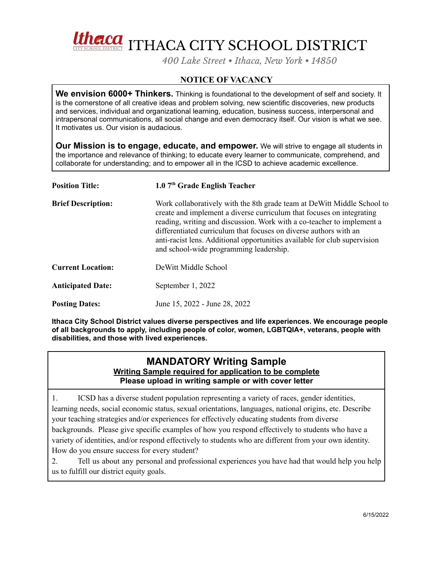

*400 Lake Street • Ithaca, New York • 14850*

## **NOTICE OF VACANCY**

**We envision 6000+ Thinkers.** Thinking is foundational to the development of self and society. It is the cornerstone of all creative ideas and problem solving, new scientific discoveries, new products and services, individual and organizational learning, education, business success, interpersonal and intrapersonal communications, all social change and even democracy itself. Our vision is what we see. It motivates us. Our vision is audacious.

**Our Mission is to engage, educate, and empower.** We will strive to engage all students in the importance and relevance of thinking; to educate every learner to communicate, comprehend, and collaborate for understanding; and to empower all in the ICSD to achieve academic excellence.

| <b>Position Title:</b>    | 1.0 7 <sup>th</sup> Grade English Teacher                                                                                                                                                                                                                                                                                                                                                                               |
|---------------------------|-------------------------------------------------------------------------------------------------------------------------------------------------------------------------------------------------------------------------------------------------------------------------------------------------------------------------------------------------------------------------------------------------------------------------|
| <b>Brief Description:</b> | Work collaboratively with the 8th grade team at DeWitt Middle School to<br>create and implement a diverse curriculum that focuses on integrating<br>reading, writing and discussion. Work with a co-teacher to implement a<br>differentiated curriculum that focuses on diverse authors with an<br>anti-racist lens. Additional opportunities available for club supervision<br>and school-wide programming leadership. |
| <b>Current Location:</b>  | DeWitt Middle School                                                                                                                                                                                                                                                                                                                                                                                                    |
| <b>Anticipated Date:</b>  | September 1, 2022                                                                                                                                                                                                                                                                                                                                                                                                       |
| <b>Posting Dates:</b>     | June 15, 2022 - June 28, 2022                                                                                                                                                                                                                                                                                                                                                                                           |

**Ithaca City School District values diverse perspectives and life experiences. We encourage people of all backgrounds to apply, including people of color, women, LGBTQIA+, veterans, people with disabilities, and those with lived experiences.**

## **MANDATORY Writing Sample Writing Sample required for application to be complete Please upload in writing sample or with cover letter**

1. ICSD has a diverse student population representing a variety of races, gender identities, learning needs, social economic status, sexual orientations, languages, national origins, etc. Describe your teaching strategies and/or experiences for effectively educating students from diverse backgrounds. Please give specific examples of how you respond effectively to students who have a variety of identities, and/or respond effectively to students who are different from your own identity. How do you ensure success for every student?

2. Tell us about any personal and professional experiences you have had that would help you help us to fulfill our district equity goals.